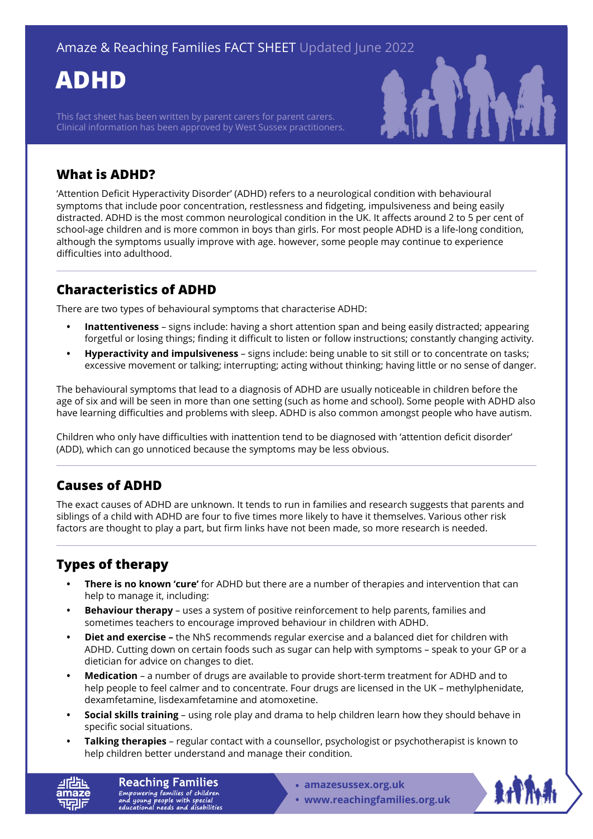# **ADHD**

This fact sheet has been written by parent carers for parent carers. Clinical information has been approved by West Sussex practitioners.



## **What is ADHD?**

'Attention Deficit Hyperactivity Disorder' (ADHD) refers to a neurological condition with behavioural symptoms that include poor concentration, restlessness and fidgeting, impulsiveness and being easily distracted. ADHD is the most common neurological condition in the UK. It affects around 2 to 5 per cent of school-age children and is more common in boys than girls. For most people ADHD is a life-long condition, although the symptoms usually improve with age. however, some people may continue to experience difficulties into adulthood.

### **Characteristics of ADHD**

There are two types of behavioural symptoms that characterise ADHD:

- **• Inattentiveness** signs include: having a short attention span and being easily distracted; appearing forgetful or losing things; finding it difficult to listen or follow instructions; constantly changing activity.
- **• Hyperactivity and impulsiveness** signs include: being unable to sit still or to concentrate on tasks; excessive movement or talking; interrupting; acting without thinking; having little or no sense of danger.

The behavioural symptoms that lead to a diagnosis of ADHD are usually noticeable in children before the age of six and will be seen in more than one setting (such as home and school). Some people with ADHD also have learning difficulties and problems with sleep. ADHD is also common amongst people who have autism.

Children who only have difficulties with inattention tend to be diagnosed with 'attention deficit disorder' (ADD), which can go unnoticed because the symptoms may be less obvious.

## **Causes of ADHD**

The exact causes of ADHD are unknown. It tends to run in families and research suggests that parents and siblings of a child with ADHD are four to five times more likely to have it themselves. Various other risk factors are thought to play a part, but firm links have not been made, so more research is needed.

## **Types of therapy**

- **• There is no known 'cure'** for ADHD but there are a number of therapies and intervention that can help to manage it, including:
- **• Behaviour therapy**  uses a system of positive reinforcement to help parents, families and sometimes teachers to encourage improved behaviour in children with ADHD.
- **• Diet and exercise** the NhS recommends regular exercise and a balanced diet for children with ADHD. Cutting down on certain foods such as sugar can help with symptoms – speak to your GP or a dietician for advice on changes to diet.
- **• Medication**  a number of drugs are available to provide short-term treatment for ADHD and to help people to feel calmer and to concentrate. Four drugs are licensed in the UK – methylphenidate, dexamfetamine, lisdexamfetamine and atomoxetine.
- **• Social skills training**  using role play and drama to help children learn how they should behave in specific social situations.
- **• Talking therapies**  regular contact with a counsellor, psychologist or psychotherapist is known to help children better understand and manage their condition.

**Reaching Families** Empowering families of children<br>and young people with special<br>educational needs and disabilities

- **• [amazesussex.org.uk](https://amazesussex.org.uk)**
- **[www.reachingfamilies.org.uk](https://www.reachingfamilies.org.uk)**